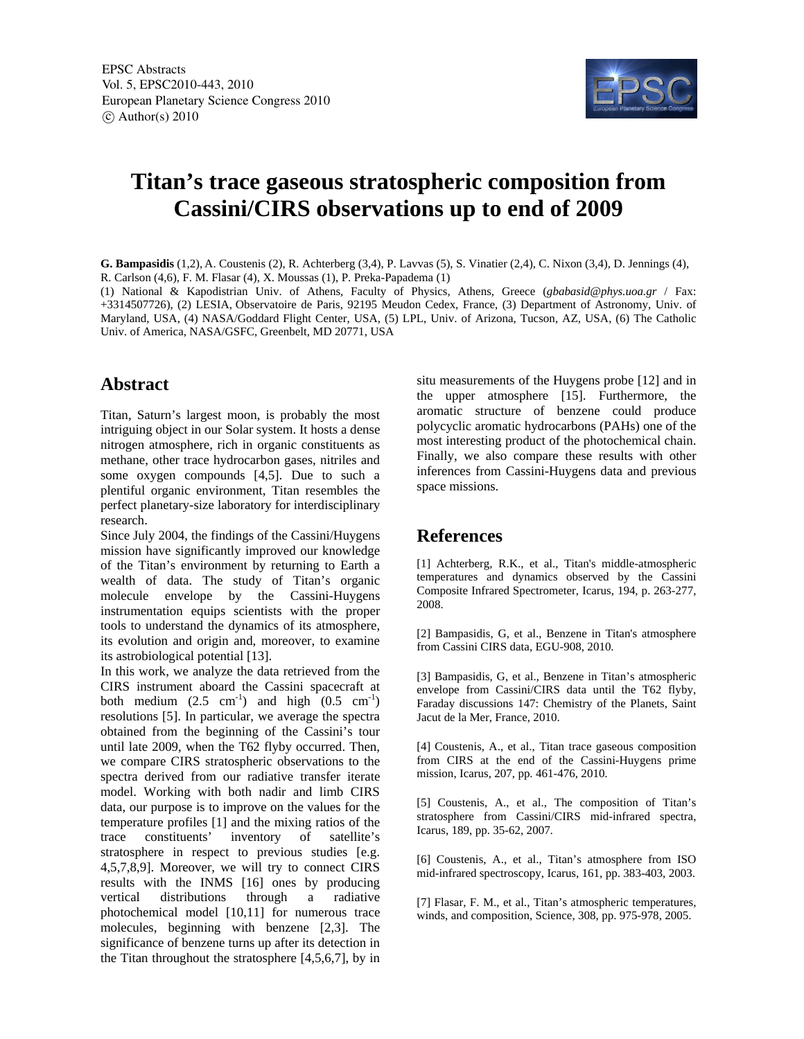

## **Titan's trace gaseous stratospheric composition from Cassini/CIRS observations up to end of 2009**

**G. Bampasidis** (1,2), A. Coustenis (2), R. Achterberg (3,4), P. Lavvas (5), S. Vinatier (2,4), C. Nixon (3,4), D. Jennings (4), R. Carlson (4,6), F. M. Flasar (4), X. Moussas (1), P. Preka-Papadema (1)

(1) National & Kapodistrian Univ. of Athens, Faculty of Physics, Athens, Greece (*gbabasid@phys.uoa.gr* / Fax: +3314507726), (2) LESIA, Observatoire de Paris, 92195 Meudon Cedex, France, (3) Department of Astronomy, Univ. of Maryland, USA, (4) NASA/Goddard Flight Center, USA, (5) LPL, Univ. of Arizona, Tucson, AZ, USA, (6) The Catholic Univ. of America, NASA/GSFC, Greenbelt, MD 20771, USA

## **Abstract**

Titan, Saturn's largest moon, is probably the most intriguing object in our Solar system. It hosts a dense nitrogen atmosphere, rich in organic constituents as methane, other trace hydrocarbon gases, nitriles and some oxygen compounds [4,5]. Due to such a plentiful organic environment, Titan resembles the perfect planetary-size laboratory for interdisciplinary research.

Since July 2004, the findings of the Cassini/Huygens mission have significantly improved our knowledge of the Titan's environment by returning to Earth a wealth of data. The study of Titan's organic molecule envelope by the Cassini-Huygens instrumentation equips scientists with the proper tools to understand the dynamics of its atmosphere, its evolution and origin and, moreover, to examine its astrobiological potential [13].

In this work, we analyze the data retrieved from the CIRS instrument aboard the Cassini spacecraft at both medium  $(2.5 \text{ cm}^{-1})$  and high  $(0.5 \text{ cm}^{-1})$ resolutions [5]. In particular, we average the spectra obtained from the beginning of the Cassini's tour until late 2009, when the T62 flyby occurred. Then, we compare CIRS stratospheric observations to the spectra derived from our radiative transfer iterate model. Working with both nadir and limb CIRS data, our purpose is to improve on the values for the temperature profiles [1] and the mixing ratios of the trace constituents' inventory of satellite's stratosphere in respect to previous studies [e.g. 4,5,7,8,9]. Moreover, we will try to connect CIRS results with the INMS [16] ones by producing vertical distributions through a radiative photochemical model [10,11] for numerous trace molecules, beginning with benzene [2,3]. The significance of benzene turns up after its detection in the Titan throughout the stratosphere [4,5,6,7], by in

situ measurements of the Huygens probe [12] and in the upper atmosphere [15]. Furthermore, the aromatic structure of benzene could produce polycyclic aromatic hydrocarbons (PAHs) one of the most interesting product of the photochemical chain. Finally, we also compare these results with other inferences from Cassini-Huygens data and previous space missions.

## **References**

[1] Achterberg, R.K., et al., Titan's middle-atmospheric temperatures and dynamics observed by the Cassini Composite Infrared Spectrometer, Icarus, 194, p. 263-277, 2008.

[2] Bampasidis, G, et al., Benzene in Titan's atmosphere from Cassini CIRS data, EGU-908, 2010.

[3] Bampasidis, G, et al., Benzene in Titan's atmospheric envelope from Cassini/CIRS data until the T62 flyby, Faraday discussions 147: Chemistry of the Planets, Saint Jacut de la Mer, France, 2010.

[4] Coustenis, A., et al., Titan trace gaseous composition from CIRS at the end of the Cassini-Huygens prime mission, Icarus, 207, pp. 461-476, 2010.

[5] Coustenis, A., et al., The composition of Titan's stratosphere from Cassini/CIRS mid-infrared spectra, Icarus, 189, pp. 35-62, 2007.

[6] Coustenis, A., et al., Titan's atmosphere from ISO mid-infrared spectroscopy, Icarus, 161, pp. 383-403, 2003.

[7] Flasar, F. M., et al., Titan's atmospheric temperatures, winds, and composition, Science, 308, pp. 975-978, 2005.